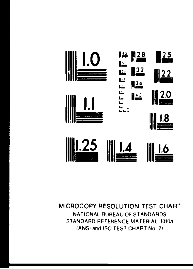

#### MICROCOPY RESOLUTION TEST CHART NATIONAL BUREAU OF STANOARDS STANDARD REFERENCE MATERIAL 1010a IANSI and ISO TEST CHART No 2)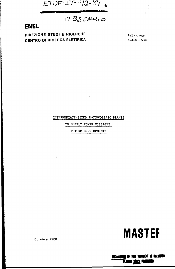

# $179251440$

## **ENEL**

**DIREZIONE STUDI E RICERCHE** Relazione **CENTRO DI RICERCA ELETTRICA n.430.153/8** 

INTERMEDIATE-SIZED PHOTOVOLTAIC PLANTS

TO SUPPLY POWER VILLAGES:

FUTURE DEVELOPMENTS



Ottobre 1988

**«Mtffiff \*** *m mm %* **«urn** 盟兄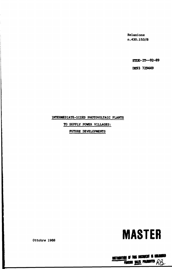**Relazione n.430.153/8** 

**ETEE-IT—92-89** 

**DE93 729449** 

### **INTERMEDIATE-SIZED PHOTOVOLTAIC PLANTS**

**TO SUPPLY POWER VILLAGES:** 

**FUTURE DEVELOPMENTS** 



M.

**DISTRIMITION OF THIS DECIDENT IS UNLESS**<br>FORCISH <u>SALES</u> PRIMATED  $R\beta$ **mm mm wamti** *oa* 

**Ottobre 1988**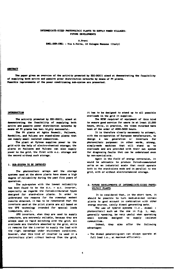#### **INTERMEDIATE-SIZED PHOTOVOLTAIC PLANTS TO SUPPLY POWER VILLAGES: FUTURE DEVELOPMENTS**

**A.Previ CNCL-DSR-CRE1 - Via A.Volta. IO Cologno Mancese (Italy)** 

#### **ABSTRACT**

**The paper gives an overview of the activity proaoted by EEC-OCXII aiaed at demonstrating the feasibility of supplying both active and passive pewer distribution networks by aeans of PV pianta. Possible iaproveaenta of the power conditioning aub-aystea are presented.** 

#### **INTRODUCTION**

**The activity proaoted by EEC-DGXII, aiaed at deaonstrating the feasibility of supplying both active and passive power distribution networks by aeans of PV plants has bee:, highly successful.** 

**The PV plants at Aghia Rouaeli, Pellwora, •ondulimi, and Vulcano are stand-alone plants that can supply snail Isolated coamunities.** 

**The plant at Kytnos supplies power to the grid with the help of electro-chemical storage; the plants at Pellwora and Vulcano can also supply power to the grid, the first with e.c. storage and the second without such storage.** 

#### **1. SUB-SYSTEM TO BE IMPROVED**

**The photovoltaic arrays and the storage systeas used at the above plants have shown a high degree of reliability during the past five years of operation.** 

**The sub-system with the lowest reliability has been found to be the d.c. - a.c. inverter, especially as regards the foreed-conmutatcd types designed for stand-alone plants. In order to understand the reasons for the romewhat nodest results obtained. It has to be remembered that the inverters used at the pilot plants are all based on the UPS technology intended for special loads (computer», etc.).** 

**UPS inverters, when they are used to supply computers, are extremely reliable, becsuse they are alwsys used in rapid switching with the grid; all overloads are therefore absorbed by the grid, while**  it remains for the invertar to supply the load with **the righi waveshape under stationary conditions. However, wher this kind of inverter is used in a photovoltaic plant without back-up from the grid.** 

**it has to be designed to stand up to all possible overloads in the grid it supplies.** 

**The MTBF required of equipment of this kind to ensure good service for users is at least 10,000 hours, while, in practice, the times recorded have been of the order of 4000-5000 hours.** 

**It is therefore clearly necessary to attempt, with the cc—operation of European manufacturers, to design a new generation o." inverters for photovoltaic purposes: in other words, strong, simply-made machines that will stand up to overloads and are provided with their own system for diagnosing faults that can be understood even by non-specialists.** 

**Again in the field of energy conversion, it would be advisable to produce forced-commutated units on an industrial scale that could operate both in the stand-alone mode and in parallel to the grid, with or without electrochemical storage.** 

#### **2. FUTURE DEVELOPMENTS Of INTERMEDIATE-SIZED PHOTO-VOLTAIC PLANTS**

**It is considered that, in the short term, it should be possible to turn medium-sized voltaic plants to good account in combination with other energy sources, mainly dicaci generating sets.** 

**The use of hybrid systems (i.e., diesel « photovoltaic) such aa the one in Fig. 1, may, generally speaking, be very useful when operating small systems designed to supply isolated communities.** 

**Indeed, they also offer the following advantages:** 

- The diesel generating-set can always operate at **full load i.e., at maximum efficiency.**